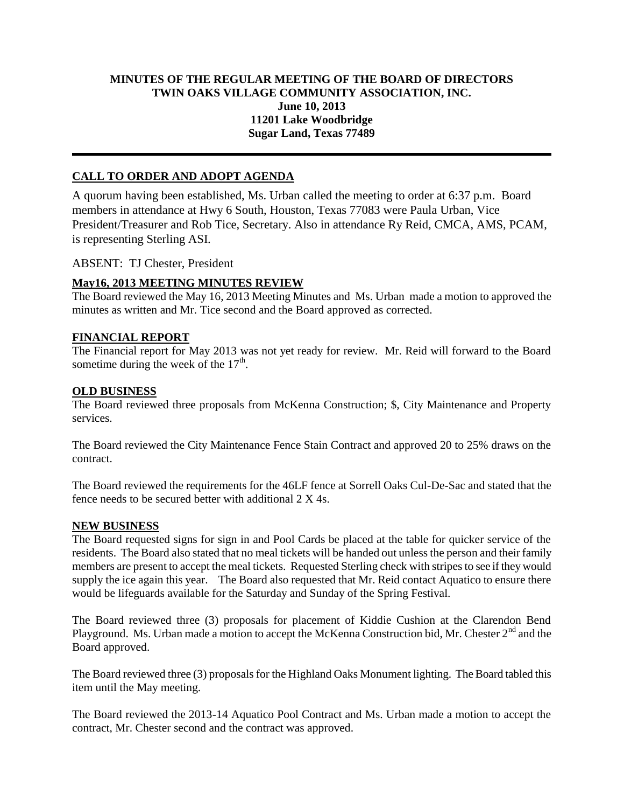## **MINUTES OF THE REGULAR MEETING OF THE BOARD OF DIRECTORS TWIN OAKS VILLAGE COMMUNITY ASSOCIATION, INC. June 10, 2013 11201 Lake Woodbridge Sugar Land, Texas 77489**

# **CALL TO ORDER AND ADOPT AGENDA**

A quorum having been established, Ms. Urban called the meeting to order at 6:37 p.m. Board members in attendance at Hwy 6 South, Houston, Texas 77083 were Paula Urban, Vice President/Treasurer and Rob Tice, Secretary. Also in attendance Ry Reid, CMCA, AMS, PCAM, is representing Sterling ASI.

ABSENT: TJ Chester, President

### **May16, 2013 MEETING MINUTES REVIEW**

The Board reviewed the May 16, 2013 Meeting Minutes and Ms. Urban made a motion to approved the minutes as written and Mr. Tice second and the Board approved as corrected.

### **FINANCIAL REPORT**

The Financial report for May 2013 was not yet ready for review. Mr. Reid will forward to the Board sometime during the week of the  $17<sup>th</sup>$ .

#### **OLD BUSINESS**

The Board reviewed three proposals from McKenna Construction; \$, City Maintenance and Property services.

The Board reviewed the City Maintenance Fence Stain Contract and approved 20 to 25% draws on the contract.

The Board reviewed the requirements for the 46LF fence at Sorrell Oaks Cul-De-Sac and stated that the fence needs to be secured better with additional 2 X 4s.

#### **NEW BUSINESS**

The Board requested signs for sign in and Pool Cards be placed at the table for quicker service of the residents. The Board also stated that no meal tickets will be handed out unless the person and their family members are present to accept the meal tickets. Requested Sterling check with stripes to see if they would supply the ice again this year. The Board also requested that Mr. Reid contact Aquatico to ensure there would be lifeguards available for the Saturday and Sunday of the Spring Festival.

The Board reviewed three (3) proposals for placement of Kiddie Cushion at the Clarendon Bend Playground. Ms. Urban made a motion to accept the McKenna Construction bid, Mr. Chester 2<sup>nd</sup> and the Board approved.

The Board reviewed three (3) proposals for the Highland Oaks Monument lighting. The Board tabled this item until the May meeting.

The Board reviewed the 2013-14 Aquatico Pool Contract and Ms. Urban made a motion to accept the contract, Mr. Chester second and the contract was approved.